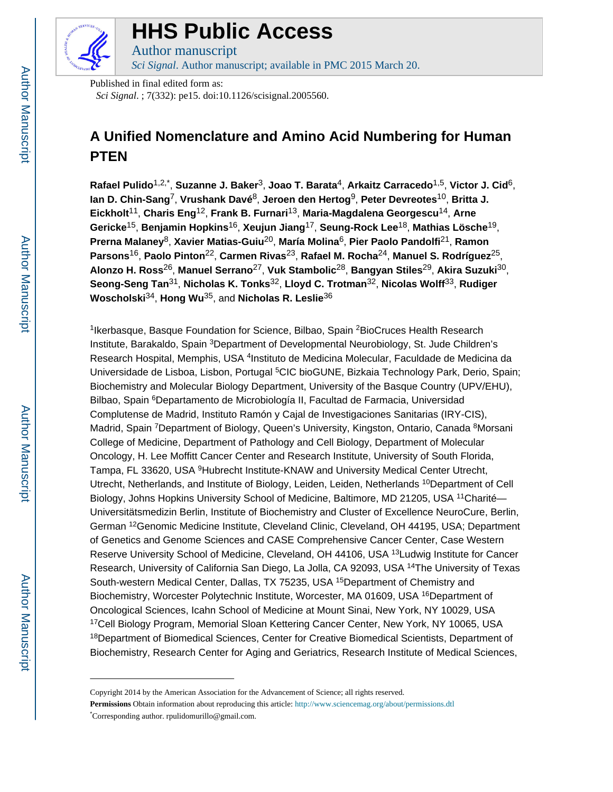

# **HHS Public Access**

Author manuscript *Sci Signal*. Author manuscript; available in PMC 2015 March 20.

Published in final edited form as:

*Sci Signal*. ; 7(332): pe15. doi:10.1126/scisignal.2005560.

## **A Unified Nomenclature and Amino Acid Numbering for Human PTEN**

**Rafael Pulido**1,2,\* , **Suzanne J. Baker**3, **Joao T. Barata**4, **Arkaitz Carracedo**1,5, **Victor J. Cid**6, **Ian D. Chin-Sang**7, **Vrushank Davé**8, **Jeroen den Hertog**9, **Peter Devreotes**10, **Britta J. Eickholt**11, **Charis Eng**12, **Frank B. Furnari**13, **Maria-Magdalena Georgescu**14, **Arne Gericke**15, **Benjamin Hopkins**16, **Xeujun Jiang**17, **Seung-Rock Lee**18, **Mathias Lösche**19, **Prerna Malaney**8, **Xavier Matias-Guiu**20, **María Molina**6, **Pier Paolo Pandolfi**21, **Ramon Parsons**16, **Paolo Pinton**22, **Carmen Rivas**23, **Rafael M. Rocha**24, **Manuel S. Rodríguez**25, **Alonzo H. Ross**26, **Manuel Serrano**27, **Vuk Stambolic**28, **Bangyan Stiles**29, **Akira Suzuki**30, **Seong-Seng Tan**31, **Nicholas K. Tonks**32, **Lloyd C. Trotman**32, **Nicolas Wolff**33, **Rudiger Woscholski**34, **Hong Wu**35, and **Nicholas R. Leslie**<sup>36</sup>

<sup>1</sup> Ikerbasque, Basque Foundation for Science, Bilbao, Spain <sup>2</sup> Bio Cruces Health Research Institute, Barakaldo, Spain <sup>3</sup>Department of Developmental Neurobiology, St. Jude Children's Research Hospital, Memphis, USA <sup>4</sup>Instituto de Medicina Molecular, Faculdade de Medicina da Universidade de Lisboa, Lisbon, Portugal <sup>5</sup>CIC bioGUNE, Bizkaia Technology Park, Derio, Spain; Biochemistry and Molecular Biology Department, University of the Basque Country (UPV/EHU), Bilbao, Spain <sup>6</sup>Departamento de Microbiología II, Facultad de Farmacia, Universidad Complutense de Madrid, Instituto Ramón y Cajal de Investigaciones Sanitarias (IRY-CIS), Madrid, Spain <sup>7</sup>Department of Biology, Queen's University, Kingston, Ontario, Canada <sup>8</sup>Morsani College of Medicine, Department of Pathology and Cell Biology, Department of Molecular Oncology, H. Lee Moffitt Cancer Center and Research Institute, University of South Florida, Tampa, FL 33620, USA <sup>9</sup>Hubrecht Institute-KNAW and University Medical Center Utrecht, Utrecht, Netherlands, and Institute of Biology, Leiden, Leiden, Netherlands <sup>10</sup>Department of Cell Biology, Johns Hopkins University School of Medicine, Baltimore, MD 21205, USA <sup>11</sup>Charité— Universitätsmedizin Berlin, Institute of Biochemistry and Cluster of Excellence NeuroCure, Berlin, German <sup>12</sup>Genomic Medicine Institute, Cleveland Clinic, Cleveland, OH 44195, USA; Department of Genetics and Genome Sciences and CASE Comprehensive Cancer Center, Case Western Reserve University School of Medicine, Cleveland, OH 44106, USA <sup>13</sup>Ludwig Institute for Cancer Research, University of California San Diego, La Jolla, CA 92093, USA <sup>14</sup>The University of Texas South-western Medical Center, Dallas, TX 75235, USA <sup>15</sup>Department of Chemistry and Biochemistry, Worcester Polytechnic Institute, Worcester, MA 01609, USA <sup>16</sup>Department of Oncological Sciences, Icahn School of Medicine at Mount Sinai, New York, NY 10029, USA <sup>17</sup>Cell Biology Program, Memorial Sloan Kettering Cancer Center, New York, NY 10065, USA <sup>18</sup>Department of Biomedical Sciences, Center for Creative Biomedical Scientists, Department of Biochemistry, Research Center for Aging and Geriatrics, Research Institute of Medical Sciences,

Copyright 2014 by the American Association for the Advancement of Science; all rights reserved.

**Permissions** Obtain information about reproducing this article: <http://www.sciencemag.org/about/permissions.dtl> \*Corresponding author. rpulidomurillo@gmail.com.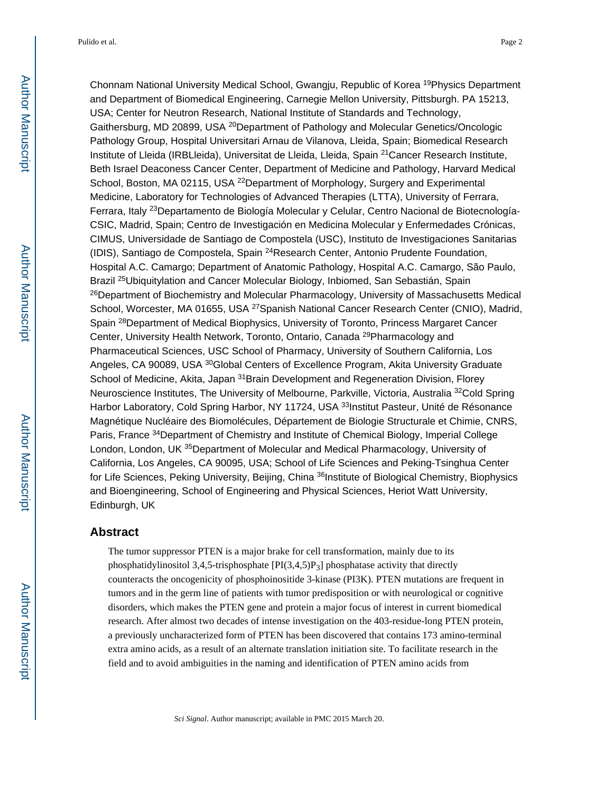Chonnam National University Medical School, Gwangju, Republic of Korea <sup>19</sup>Physics Department and Department of Biomedical Engineering, Carnegie Mellon University, Pittsburgh. PA 15213, USA; Center for Neutron Research, National Institute of Standards and Technology, Gaithersburg, MD 20899, USA <sup>20</sup>Department of Pathology and Molecular Genetics/Oncologic Pathology Group, Hospital Universitari Arnau de Vilanova, Lleida, Spain; Biomedical Research Institute of Lleida (IRBLleida), Universitat de Lleida, Lleida, Spain <sup>21</sup> Cancer Research Institute, Beth Israel Deaconess Cancer Center, Department of Medicine and Pathology, Harvard Medical School, Boston, MA 02115, USA <sup>22</sup>Department of Morphology, Surgery and Experimental Medicine, Laboratory for Technologies of Advanced Therapies (LTTA), University of Ferrara, Ferrara, Italy <sup>23</sup>Departamento de Biología Molecular y Celular, Centro Nacional de Biotecnología-CSIC, Madrid, Spain; Centro de Investigación en Medicina Molecular y Enfermedades Crónicas, CIMUS, Universidade de Santiago de Compostela (USC), Instituto de Investigaciones Sanitarias (IDIS), Santiago de Compostela, Spain <sup>24</sup>Research Center, Antonio Prudente Foundation, Hospital A.C. Camargo; Department of Anatomic Pathology, Hospital A.C. Camargo, São Paulo, Brazil 25Ubiquitylation and Cancer Molecular Biology, Inbiomed, San Sebastián, Spain <sup>26</sup>Department of Biochemistry and Molecular Pharmacology, University of Massachusetts Medical School, Worcester, MA 01655, USA <sup>27</sup>Spanish National Cancer Research Center (CNIO), Madrid, Spain <sup>28</sup>Department of Medical Biophysics, University of Toronto, Princess Margaret Cancer Center, University Health Network, Toronto, Ontario, Canada <sup>29</sup>Pharmacology and Pharmaceutical Sciences, USC School of Pharmacy, University of Southern California, Los Angeles, CA 90089, USA <sup>30</sup>Global Centers of Excellence Program, Akita University Graduate School of Medicine, Akita, Japan <sup>31</sup>Brain Development and Regeneration Division, Florey Neuroscience Institutes, The University of Melbourne, Parkville, Victoria, Australia <sup>32</sup>Cold Spring Harbor Laboratory, Cold Spring Harbor, NY 11724, USA <sup>33</sup>Institut Pasteur, Unité de Résonance Magnétique Nucléaire des Biomolécules, Département de Biologie Structurale et Chimie, CNRS, Paris, France <sup>34</sup>Department of Chemistry and Institute of Chemical Biology, Imperial College London, London, UK <sup>35</sup>Department of Molecular and Medical Pharmacology, University of California, Los Angeles, CA 90095, USA; School of Life Sciences and Peking-Tsinghua Center for Life Sciences, Peking University, Beijing, China <sup>36</sup>Institute of Biological Chemistry, Biophysics and Bioengineering, School of Engineering and Physical Sciences, Heriot Watt University, Edinburgh, UK

#### **Abstract**

The tumor suppressor PTEN is a major brake for cell transformation, mainly due to its phosphatidylinositol 3,4,5-trisphosphate [PI(3,4,5)P3] phosphatase activity that directly counteracts the oncogenicity of phosphoinositide 3-kinase (PI3K). PTEN mutations are frequent in tumors and in the germ line of patients with tumor predisposition or with neurological or cognitive disorders, which makes the PTEN gene and protein a major focus of interest in current biomedical research. After almost two decades of intense investigation on the 403-residue-long PTEN protein, a previously uncharacterized form of PTEN has been discovered that contains 173 amino-terminal extra amino acids, as a result of an alternate translation initiation site. To facilitate research in the field and to avoid ambiguities in the naming and identification of PTEN amino acids from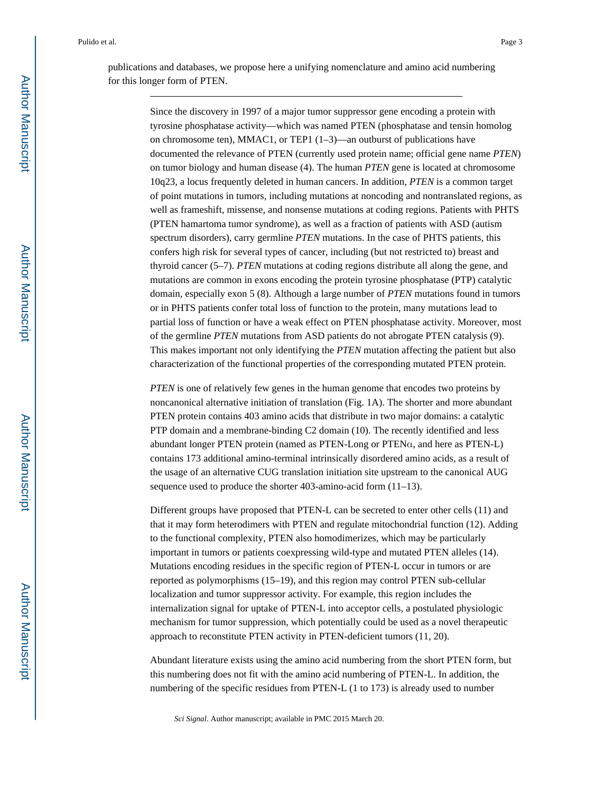Since the discovery in 1997 of a major tumor suppressor gene encoding a protein with tyrosine phosphatase activity—which was named PTEN (phosphatase and tensin homolog on chromosome ten), MMAC1, or TEP1  $(1-3)$ —an outburst of publications have documented the relevance of PTEN (currently used protein name; official gene name *PTEN*) on tumor biology and human disease (4). The human *PTEN* gene is located at chromosome 10q23, a locus frequently deleted in human cancers. In addition, *PTEN* is a common target of point mutations in tumors, including mutations at noncoding and nontranslated regions, as well as frameshift, missense, and nonsense mutations at coding regions. Patients with PHTS (PTEN hamartoma tumor syndrome), as well as a fraction of patients with ASD (autism spectrum disorders), carry germline *PTEN* mutations. In the case of PHTS patients, this confers high risk for several types of cancer, including (but not restricted to) breast and thyroid cancer (5–7). *PTEN* mutations at coding regions distribute all along the gene, and mutations are common in exons encoding the protein tyrosine phosphatase (PTP) catalytic domain, especially exon 5 (8). Although a large number of *PTEN* mutations found in tumors or in PHTS patients confer total loss of function to the protein, many mutations lead to partial loss of function or have a weak effect on PTEN phosphatase activity. Moreover, most of the germline *PTEN* mutations from ASD patients do not abrogate PTEN catalysis (9). This makes important not only identifying the *PTEN* mutation affecting the patient but also characterization of the functional properties of the corresponding mutated PTEN protein.

*PTEN* is one of relatively few genes in the human genome that encodes two proteins by noncanonical alternative initiation of translation (Fig. 1A). The shorter and more abundant PTEN protein contains 403 amino acids that distribute in two major domains: a catalytic PTP domain and a membrane-binding C2 domain (10). The recently identified and less abundant longer PTEN protein (named as PTEN-Long or PTENα, and here as PTEN-L) contains 173 additional amino-terminal intrinsically disordered amino acids, as a result of the usage of an alternative CUG translation initiation site upstream to the canonical AUG sequence used to produce the shorter 403-amino-acid form (11–13).

Different groups have proposed that PTEN-L can be secreted to enter other cells (11) and that it may form heterodimers with PTEN and regulate mitochondrial function (12). Adding to the functional complexity, PTEN also homodimerizes, which may be particularly important in tumors or patients coexpressing wild-type and mutated PTEN alleles (14). Mutations encoding residues in the specific region of PTEN-L occur in tumors or are reported as polymorphisms (15–19), and this region may control PTEN sub-cellular localization and tumor suppressor activity. For example, this region includes the internalization signal for uptake of PTEN-L into acceptor cells, a postulated physiologic mechanism for tumor suppression, which potentially could be used as a novel therapeutic approach to reconstitute PTEN activity in PTEN-deficient tumors (11, 20).

Abundant literature exists using the amino acid numbering from the short PTEN form, but this numbering does not fit with the amino acid numbering of PTEN-L. In addition, the numbering of the specific residues from PTEN-L (1 to 173) is already used to number

*Sci Signal*. Author manuscript; available in PMC 2015 March 20.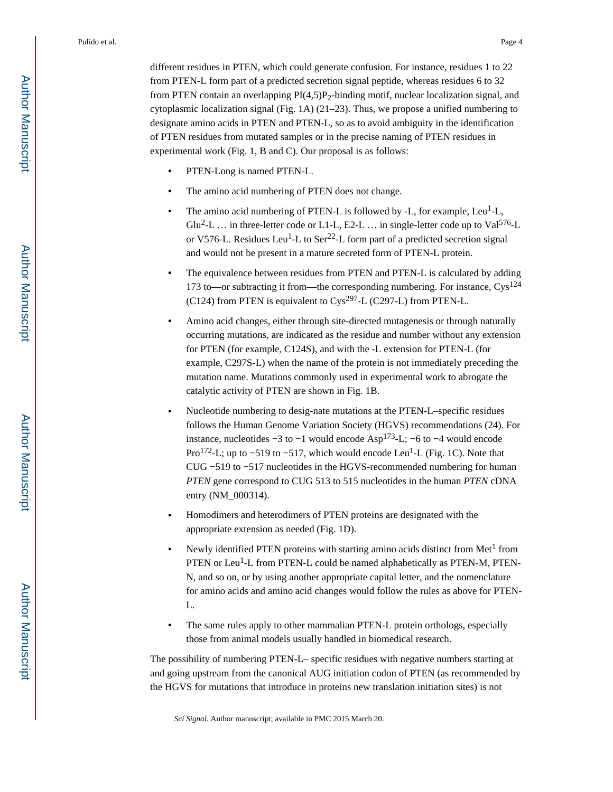different residues in PTEN, which could generate confusion. For instance, residues 1 to 22 from PTEN-L form part of a predicted secretion signal peptide, whereas residues 6 to 32 from PTEN contain an overlapping  $PI(4,5)P_2$ -binding motif, nuclear localization signal, and cytoplasmic localization signal (Fig. 1A) (21–23). Thus, we propose a unified numbering to designate amino acids in PTEN and PTEN-L, so as to avoid ambiguity in the identification of PTEN residues from mutated samples or in the precise naming of PTEN residues in experimental work (Fig. 1, B and C). Our proposal is as follows:

- **•** PTEN-Long is named PTEN-L.
- **•** The amino acid numbering of PTEN does not change.
- The amino acid numbering of PTEN-L is followed by -L, for example, Leu<sup>1</sup>-L, Glu<sup>2</sup>-L ... in three-letter code or L1-L, E2-L ... in single-letter code up to Val<sup>576</sup>-L or V576-L. Residues Leu<sup>1</sup>-L to Ser<sup>22</sup>-L form part of a predicted secretion signal and would not be present in a mature secreted form of PTEN-L protein.
- **•** The equivalence between residues from PTEN and PTEN-L is calculated by adding 173 to—or subtracting it from—the corresponding numbering. For instance,  $Cys^{124}$ (C124) from PTEN is equivalent to  $C_{\text{VS}}^{297}$ -L (C297-L) from PTEN-L.
- **•** Amino acid changes, either through site-directed mutagenesis or through naturally occurring mutations, are indicated as the residue and number without any extension for PTEN (for example, C124S), and with the -L extension for PTEN-L (for example, C297S-L) when the name of the protein is not immediately preceding the mutation name. Mutations commonly used in experimental work to abrogate the catalytic activity of PTEN are shown in Fig. 1B.
- **•** Nucleotide numbering to desig-nate mutations at the PTEN-L–specific residues follows the Human Genome Variation Society (HGVS) recommendations (24). For instance, nucleotides  $-3$  to  $-1$  would encode Asp<sup>173</sup>-L;  $-6$  to  $-4$  would encode Pro<sup>172</sup>-L; up to –519 to –517, which would encode Leu<sup>1</sup>-L (Fig. 1C). Note that CUG −519 to −517 nucleotides in the HGVS-recommended numbering for human *PTEN* gene correspond to CUG 513 to 515 nucleotides in the human *PTEN* cDNA entry (NM\_000314).
- **•** Homodimers and heterodimers of PTEN proteins are designated with the appropriate extension as needed (Fig. 1D).
- Newly identified PTEN proteins with starting amino acids distinct from Met<sup>1</sup> from PTEN or Leu<sup>1</sup>-L from PTEN-L could be named alphabetically as PTEN-M, PTEN-N, and so on, or by using another appropriate capital letter, and the nomenclature for amino acids and amino acid changes would follow the rules as above for PTEN-L.
- **•** The same rules apply to other mammalian PTEN-L protein orthologs, especially those from animal models usually handled in biomedical research.

The possibility of numbering PTEN-L– specific residues with negative numbers starting at and going upstream from the canonical AUG initiation codon of PTEN (as recommended by the HGVS for mutations that introduce in proteins new translation initiation sites) is not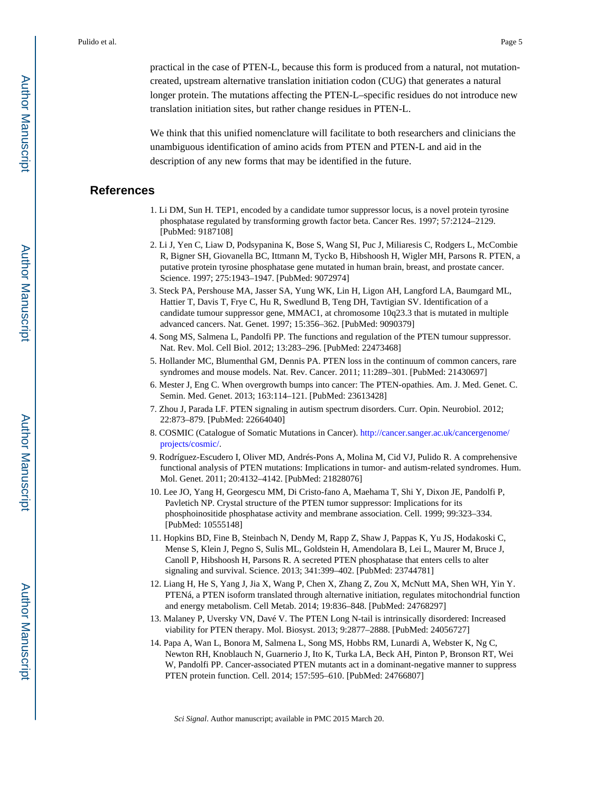practical in the case of PTEN-L, because this form is produced from a natural, not mutationcreated, upstream alternative translation initiation codon (CUG) that generates a natural longer protein. The mutations affecting the PTEN-L–specific residues do not introduce new translation initiation sites, but rather change residues in PTEN-L.

We think that this unified nomenclature will facilitate to both researchers and clinicians the unambiguous identification of amino acids from PTEN and PTEN-L and aid in the description of any new forms that may be identified in the future.

### **References**

- 1. Li DM, Sun H. TEP1, encoded by a candidate tumor suppressor locus, is a novel protein tyrosine phosphatase regulated by transforming growth factor beta. Cancer Res. 1997; 57:2124–2129. [PubMed: 9187108]
- 2. Li J, Yen C, Liaw D, Podsypanina K, Bose S, Wang SI, Puc J, Miliaresis C, Rodgers L, McCombie R, Bigner SH, Giovanella BC, Ittmann M, Tycko B, Hibshoosh H, Wigler MH, Parsons R. PTEN, a putative protein tyrosine phosphatase gene mutated in human brain, breast, and prostate cancer. Science. 1997; 275:1943–1947. [PubMed: 9072974]
- 3. Steck PA, Pershouse MA, Jasser SA, Yung WK, Lin H, Ligon AH, Langford LA, Baumgard ML, Hattier T, Davis T, Frye C, Hu R, Swedlund B, Teng DH, Tavtigian SV. Identification of a candidate tumour suppressor gene, MMAC1, at chromosome 10q23.3 that is mutated in multiple advanced cancers. Nat. Genet. 1997; 15:356–362. [PubMed: 9090379]
- 4. Song MS, Salmena L, Pandolfi PP. The functions and regulation of the PTEN tumour suppressor. Nat. Rev. Mol. Cell Biol. 2012; 13:283–296. [PubMed: 22473468]
- 5. Hollander MC, Blumenthal GM, Dennis PA. PTEN loss in the continuum of common cancers, rare syndromes and mouse models. Nat. Rev. Cancer. 2011; 11:289–301. [PubMed: 21430697]
- 6. Mester J, Eng C. When overgrowth bumps into cancer: The PTEN-opathies. Am. J. Med. Genet. C. Semin. Med. Genet. 2013; 163:114–121. [PubMed: 23613428]
- 7. Zhou J, Parada LF. PTEN signaling in autism spectrum disorders. Curr. Opin. Neurobiol. 2012; 22:873–879. [PubMed: 22664040]
- 8. COSMIC (Catalogue of Somatic Mutations in Cancer). [http://cancer.sanger.ac.uk/cancergenome/](http://cancer.sanger.ac.uk/cancergenome/projects/cosmic/) [projects/cosmic/.](http://cancer.sanger.ac.uk/cancergenome/projects/cosmic/)
- 9. Rodríguez-Escudero I, Oliver MD, Andrés-Pons A, Molina M, Cid VJ, Pulido R. A comprehensive functional analysis of PTEN mutations: Implications in tumor- and autism-related syndromes. Hum. Mol. Genet. 2011; 20:4132–4142. [PubMed: 21828076]
- 10. Lee JO, Yang H, Georgescu MM, Di Cristo-fano A, Maehama T, Shi Y, Dixon JE, Pandolfi P, Pavletich NP. Crystal structure of the PTEN tumor suppressor: Implications for its phosphoinositide phosphatase activity and membrane association. Cell. 1999; 99:323–334. [PubMed: 10555148]
- 11. Hopkins BD, Fine B, Steinbach N, Dendy M, Rapp Z, Shaw J, Pappas K, Yu JS, Hodakoski C, Mense S, Klein J, Pegno S, Sulis ML, Goldstein H, Amendolara B, Lei L, Maurer M, Bruce J, Canoll P, Hibshoosh H, Parsons R. A secreted PTEN phosphatase that enters cells to alter signaling and survival. Science. 2013; 341:399–402. [PubMed: 23744781]
- 12. Liang H, He S, Yang J, Jia X, Wang P, Chen X, Zhang Z, Zou X, McNutt MA, Shen WH, Yin Y. PTENá, a PTEN isoform translated through alternative initiation, regulates mitochondrial function and energy metabolism. Cell Metab. 2014; 19:836–848. [PubMed: 24768297]
- 13. Malaney P, Uversky VN, Davé V. The PTEN Long N-tail is intrinsically disordered: Increased viability for PTEN therapy. Mol. Biosyst. 2013; 9:2877–2888. [PubMed: 24056727]
- 14. Papa A, Wan L, Bonora M, Salmena L, Song MS, Hobbs RM, Lunardi A, Webster K, Ng C, Newton RH, Knoblauch N, Guarnerio J, Ito K, Turka LA, Beck AH, Pinton P, Bronson RT, Wei W, Pandolfi PP. Cancer-associated PTEN mutants act in a dominant-negative manner to suppress PTEN protein function. Cell. 2014; 157:595–610. [PubMed: 24766807]

*Sci Signal*. Author manuscript; available in PMC 2015 March 20.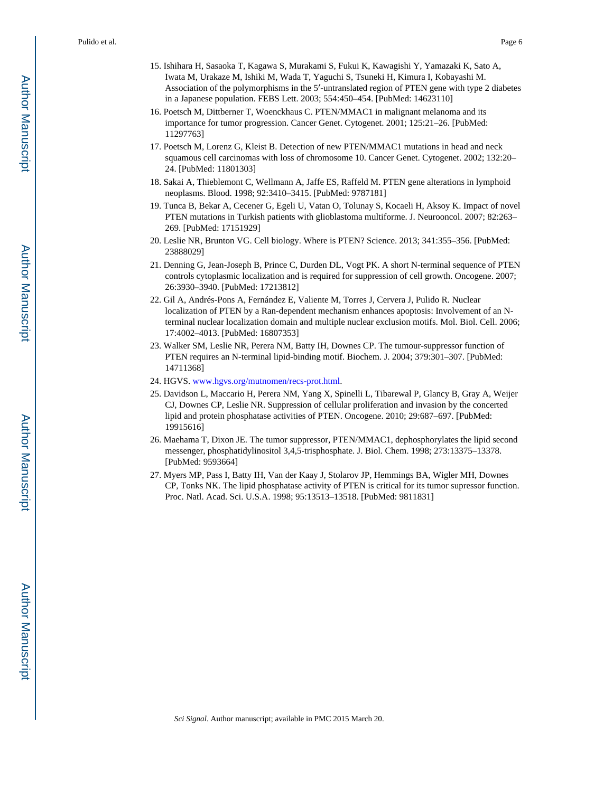- 15. Ishihara H, Sasaoka T, Kagawa S, Murakami S, Fukui K, Kawagishi Y, Yamazaki K, Sato A, Iwata M, Urakaze M, Ishiki M, Wada T, Yaguchi S, Tsuneki H, Kimura I, Kobayashi M.
	- Association of the polymorphisms in the 5′-untranslated region of PTEN gene with type 2 diabetes in a Japanese population. FEBS Lett. 2003; 554:450–454. [PubMed: 14623110]
- 16. Poetsch M, Dittberner T, Woenckhaus C. PTEN/MMAC1 in malignant melanoma and its importance for tumor progression. Cancer Genet. Cytogenet. 2001; 125:21–26. [PubMed: 11297763]
- 17. Poetsch M, Lorenz G, Kleist B. Detection of new PTEN/MMAC1 mutations in head and neck squamous cell carcinomas with loss of chromosome 10. Cancer Genet. Cytogenet. 2002; 132:20– 24. [PubMed: 11801303]
- 18. Sakai A, Thieblemont C, Wellmann A, Jaffe ES, Raffeld M. PTEN gene alterations in lymphoid neoplasms. Blood. 1998; 92:3410–3415. [PubMed: 9787181]
- 19. Tunca B, Bekar A, Cecener G, Egeli U, Vatan O, Tolunay S, Kocaeli H, Aksoy K. Impact of novel PTEN mutations in Turkish patients with glioblastoma multiforme. J. Neurooncol. 2007; 82:263– 269. [PubMed: 17151929]
- 20. Leslie NR, Brunton VG. Cell biology. Where is PTEN? Science. 2013; 341:355–356. [PubMed: 23888029]
- 21. Denning G, Jean-Joseph B, Prince C, Durden DL, Vogt PK. A short N-terminal sequence of PTEN controls cytoplasmic localization and is required for suppression of cell growth. Oncogene. 2007; 26:3930–3940. [PubMed: 17213812]
- 22. Gil A, Andrés-Pons A, Fernández E, Valiente M, Torres J, Cervera J, Pulido R. Nuclear localization of PTEN by a Ran-dependent mechanism enhances apoptosis: Involvement of an Nterminal nuclear localization domain and multiple nuclear exclusion motifs. Mol. Biol. Cell. 2006; 17:4002–4013. [PubMed: 16807353]
- 23. Walker SM, Leslie NR, Perera NM, Batty IH, Downes CP. The tumour-suppressor function of PTEN requires an N-terminal lipid-binding motif. Biochem. J. 2004; 379:301–307. [PubMed: 14711368]
- 24. HGVS. [www.hgvs.org/mutnomen/recs-prot.html.](http://www.hgvs.org/mutnomen/recs-prot.html)
- 25. Davidson L, Maccario H, Perera NM, Yang X, Spinelli L, Tibarewal P, Glancy B, Gray A, Weijer CJ, Downes CP, Leslie NR. Suppression of cellular proliferation and invasion by the concerted lipid and protein phosphatase activities of PTEN. Oncogene. 2010; 29:687–697. [PubMed: 19915616]
- 26. Maehama T, Dixon JE. The tumor suppressor, PTEN/MMAC1, dephosphorylates the lipid second messenger, phosphatidylinositol 3,4,5-trisphosphate. J. Biol. Chem. 1998; 273:13375–13378. [PubMed: 9593664]
- 27. Myers MP, Pass I, Batty IH, Van der Kaay J, Stolarov JP, Hemmings BA, Wigler MH, Downes CP, Tonks NK. The lipid phosphatase activity of PTEN is critical for its tumor supressor function. Proc. Natl. Acad. Sci. U.S.A. 1998; 95:13513–13518. [PubMed: 9811831]